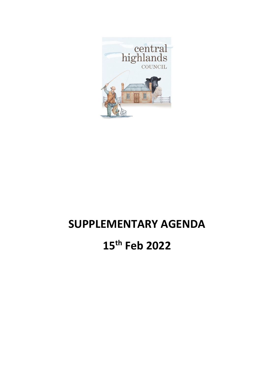

# **SUPPLEMENTARY AGENDA 15th Feb 2022**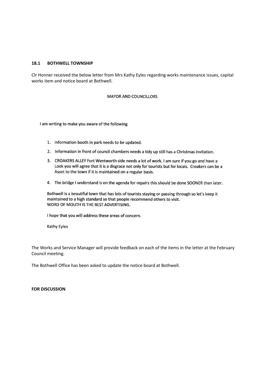### **18.1 BOTHWELL TOWNSHIP**

Clr Honner received the below letter from Mrs Kathy Eyles regarding works maintenance issues, capital works item and notice board at Bothwell.

### MAYOR AND COUNCILLORS

I am writing to make you aware of the following

- 1. Information booth in park needs to be updated.
- 2. Information in front of council chambers needs a tidy up still has a Christmas invitation.
- 3. CROAKERS ALLEY Fort Wentworth side needs a lot of work. I am sure if you go and have a Look you will agree that it is a disgrace not only for tourists but for locals. Croakers can be a Asset to the town if it is maintained on a regular basis.
- 4. The bridge I understand is on the agenda for repairs this should be done SOONER than later.

Bothwell is a beautiful town that has lots of tourists staying or passing through so let's keep it maintained to a high standard so that people recommend others to visit. WORD OF MOUTH IS THE BEST ADVERTISING.

I hope that you will address these areas of concern.

Kathy Eyles

The Works and Service Manager will provide feedback on each of the items in the letter at the February Council meeting.

The Bothwell Office has been asked to update the notice board at Bothwell.

### **FOR DISCUSSION**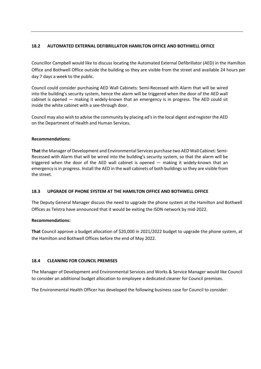### **18.2 AUTOMATED EXTERNAL DEFIBRILLATOR HAMILTON OFFICE AND BOTHWELL OFFICE**

Councillor Campbell would like to discuss locating the Automated External Defibrillator (AED) in the Hamilton Office and Bothwell Office outside the building so they are visible from the street and available 24 hours per day 7 days a week to the public.

Council could consider purchasing AED Wall Cabinets: Semi-Recessed with Alarm that will be wired into the building's security system, hence the alarm will be triggered when the door of the AED wall cabinet is opened — making it widely-known that an emergency is in progress. The AED could sit inside the white cabinet with a see-through door.

Council may also wish to advise the community by placing ad's in the local digest and register the AED on the Department of Health and Human Services.

### **Recommendations:**

**That** the Manager of Development and Environmental Services purchase two AED Wall Cabinet: Semi-Recessed with Alarm that will be wired into the building's security system, so that the alarm will be triggered when the door of the AED wall cabinet is opened — making it widely-known that an emergency is in progress. Install the AED in the wall cabinets of both buildings so they are visible from the street.

### **18.3 UPGRADE OF PHONE SYSTEM AT THE HAMILTON OFFICE AND BOTHWELL OFFICE**

The Deputy General Manager discuss the need to upgrade the phone system at the Hamilton and Bothwell Offices as Telstra have announced that it would be exiting the ISDN network by mid-2022.

### **Recommendations:**

**That** Council approve a budget allocation of \$20,000 in 2021/2022 budget to upgrade the phone system, at the Hamilton and Bothwell Offices before the end of May 2022.

### **18.4 CLEANING FOR COUNCIL PREMISES**

The Manager of Development and Environmental Services and Works & Service Manager would like Council to consider an additional budget allocation to employee a dedicated cleaner for Council premises.

The Environmental Health Officer has developed the following business case for Council to consider: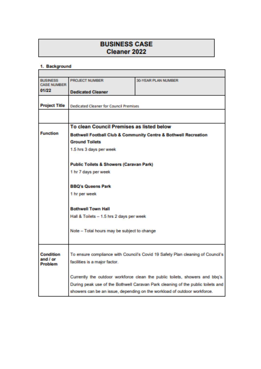## **BUSINESS CASE** Cleaner 2022

### 1. Background

| <b>BUSINESS</b><br><b>CASE NUMBER:</b> | PROJECT NUMBER                                                                                                                                              | <b>30JVEAR PLAN NUMBER</b>                                                     |  |  |  |  |
|----------------------------------------|-------------------------------------------------------------------------------------------------------------------------------------------------------------|--------------------------------------------------------------------------------|--|--|--|--|
| 01/22                                  | <b>Dedicated Cleaner</b>                                                                                                                                    |                                                                                |  |  |  |  |
|                                        |                                                                                                                                                             |                                                                                |  |  |  |  |
| <b>Project Title</b>                   | <b>Dedicated Cleaner for Council Premises</b>                                                                                                               |                                                                                |  |  |  |  |
|                                        |                                                                                                                                                             |                                                                                |  |  |  |  |
|                                        | To clean Council Premises as listed below                                                                                                                   |                                                                                |  |  |  |  |
| <b>Function</b>                        |                                                                                                                                                             | Bothwell Football Club & Community Centre & Bothwell Recreation                |  |  |  |  |
|                                        | <b>Ground Toilets</b>                                                                                                                                       |                                                                                |  |  |  |  |
|                                        | 1.5 hrs 3 days per week                                                                                                                                     |                                                                                |  |  |  |  |
|                                        |                                                                                                                                                             |                                                                                |  |  |  |  |
|                                        | <b>Public Toilets &amp; Showers (Caravan Park)</b>                                                                                                          |                                                                                |  |  |  |  |
|                                        | 1 hr 7 days per week                                                                                                                                        |                                                                                |  |  |  |  |
|                                        | <b>BBQ's Queens Park</b>                                                                                                                                    |                                                                                |  |  |  |  |
|                                        |                                                                                                                                                             |                                                                                |  |  |  |  |
|                                        | 1 hr per week                                                                                                                                               |                                                                                |  |  |  |  |
|                                        | <b>Bothwell Town Hall</b><br>Hall & Toilets - 1.5 hrs 2 days per week                                                                                       |                                                                                |  |  |  |  |
|                                        |                                                                                                                                                             |                                                                                |  |  |  |  |
|                                        |                                                                                                                                                             |                                                                                |  |  |  |  |
|                                        | Note - Total hours may be subject to change                                                                                                                 |                                                                                |  |  |  |  |
|                                        |                                                                                                                                                             |                                                                                |  |  |  |  |
| <b>Condition</b>                       |                                                                                                                                                             | To ensure compliance with Council's Covid 19 Safety Plan cleaning of Council's |  |  |  |  |
| and / or                               | facilities is a major factor.                                                                                                                               |                                                                                |  |  |  |  |
| <b>Problem</b>                         |                                                                                                                                                             |                                                                                |  |  |  |  |
|                                        |                                                                                                                                                             | Currently the outdoor workforce clean the public toilets, showers and bbq's.   |  |  |  |  |
|                                        | During peak use of the Bothwell Caravan Park cleaning of the public toilets and<br>showers can be an issue, depending on the workload of outdoor workforce. |                                                                                |  |  |  |  |
|                                        |                                                                                                                                                             |                                                                                |  |  |  |  |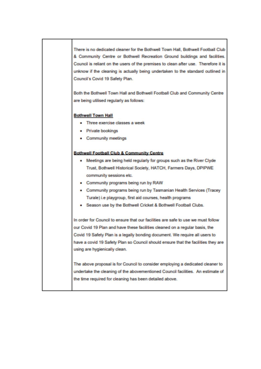There is no dedicated cleaner for the Bothwell Town Hall, Bothwell Football Club & Community Centre or Bothwell Recreation Ground buildings and facilities. Council is reliant on the users of the premises to clean after use. Therefore it is unknow if the cleaning is actually being undertaken to the standard outlined in Council's Covid 19 Safety Plan.

Both the Bothwell Town Hall and Bothwell Football Club and Community Centre are being utilised regularly as follows:

### **Bothwell Town Hall**

- Three exercise classes a week
- · Private bookings
- Community meetings

### **Bothwell Football Club & Community Centre**

- . Meetings are being held regularly for groups such as the River Clyde Trust, Bothwell Historical Society, HATCH, Farmers Days, DPIPWE community sessions etc.
- Community programs being run by RAW
- Community programs being run by Tasmanian Health Services (Tracey Turale) i.e playgroup, first aid courses, health programs
- . Season use by the Bothwell Cricket & Bothwell Football Clubs.

In order for Council to ensure that our facilities are safe to use we must follow our Covid 19 Plan and have these facilities cleaned on a regular basis, the Covid 19 Safety Plan is a legally bonding document. We require all users to have a covid 19 Safety Plan so Council should ensure that the facilities they are using are hygienically clean.

The above proposal is for Council to consider employing a dedicated cleaner to undertake the cleaning of the abovementioned Council facilities. An estimate of the time required for cleaning has been detailed above.